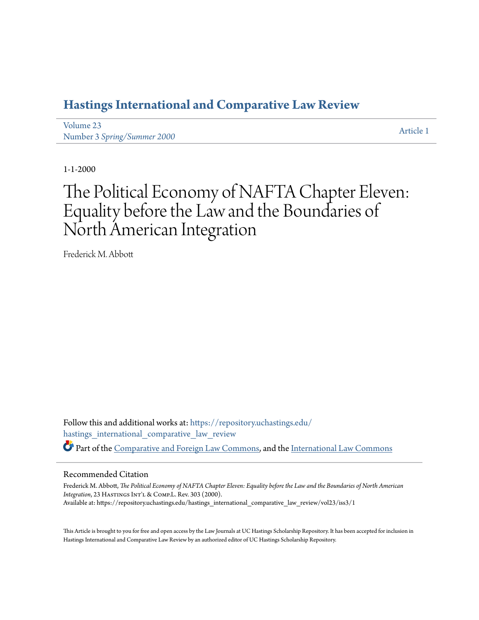### **[Hastings International and Comparative Law Review](https://repository.uchastings.edu/hastings_international_comparative_law_review?utm_source=repository.uchastings.edu%2Fhastings_international_comparative_law_review%2Fvol23%2Fiss3%2F1&utm_medium=PDF&utm_campaign=PDFCoverPages)**

[Volume 23](https://repository.uchastings.edu/hastings_international_comparative_law_review/vol23?utm_source=repository.uchastings.edu%2Fhastings_international_comparative_law_review%2Fvol23%2Fiss3%2F1&utm_medium=PDF&utm_campaign=PDFCoverPages) Number 3 *[Spring/Summer 2000](https://repository.uchastings.edu/hastings_international_comparative_law_review/vol23/iss3?utm_source=repository.uchastings.edu%2Fhastings_international_comparative_law_review%2Fvol23%2Fiss3%2F1&utm_medium=PDF&utm_campaign=PDFCoverPages)* [Article 1](https://repository.uchastings.edu/hastings_international_comparative_law_review/vol23/iss3/1?utm_source=repository.uchastings.edu%2Fhastings_international_comparative_law_review%2Fvol23%2Fiss3%2F1&utm_medium=PDF&utm_campaign=PDFCoverPages)

1-1-2000

# The Political Economy of NAFTA Chapter Eleven: Equality before the Law and the Boundaries of North American Integration

Frederick M. Abbott

Follow this and additional works at: [https://repository.uchastings.edu/](https://repository.uchastings.edu/hastings_international_comparative_law_review?utm_source=repository.uchastings.edu%2Fhastings_international_comparative_law_review%2Fvol23%2Fiss3%2F1&utm_medium=PDF&utm_campaign=PDFCoverPages) [hastings\\_international\\_comparative\\_law\\_review](https://repository.uchastings.edu/hastings_international_comparative_law_review?utm_source=repository.uchastings.edu%2Fhastings_international_comparative_law_review%2Fvol23%2Fiss3%2F1&utm_medium=PDF&utm_campaign=PDFCoverPages) Part of the [Comparative and Foreign Law Commons](http://network.bepress.com/hgg/discipline/836?utm_source=repository.uchastings.edu%2Fhastings_international_comparative_law_review%2Fvol23%2Fiss3%2F1&utm_medium=PDF&utm_campaign=PDFCoverPages), and the [International Law Commons](http://network.bepress.com/hgg/discipline/609?utm_source=repository.uchastings.edu%2Fhastings_international_comparative_law_review%2Fvol23%2Fiss3%2F1&utm_medium=PDF&utm_campaign=PDFCoverPages)

#### Recommended Citation

Frederick M. Abbott, *The Political Economy of NAFTA Chapter Eleven: Equality before the Law and the Boundaries of North American Integration*, 23 HASTINGS INT'L & COMP.L. Rev. 303 (2000). Available at: https://repository.uchastings.edu/hastings\_international\_comparative\_law\_review/vol23/iss3/1

This Article is brought to you for free and open access by the Law Journals at UC Hastings Scholarship Repository. It has been accepted for inclusion in Hastings International and Comparative Law Review by an authorized editor of UC Hastings Scholarship Repository.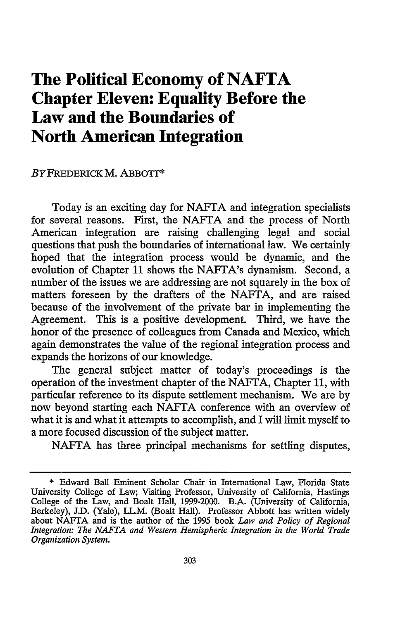## **The Political Economy of NAFTA Chapter Eleven: Equality Before the Law and the Boundaries of North American Integration**

#### BYFREDERICK M. ABBOTT\*

Today is an exciting day for NAFTA and integration specialists for several reasons. First, the NAFTA and the process of North American integration are raising challenging legal and social questions that push the boundaries of international law. We certainly hoped that the integration process would be dynamic, and the evolution of Chapter 11 shows the NAFTA's dynamism. Second, a number of the issues we are addressing are not squarely in the box of matters foreseen by the drafters of the NAFTA, and are raised because of the involvement of the private bar in implementing the Agreement. This is a positive development. Third, we have the honor of the presence of colleagues from Canada and Mexico, which again demonstrates the value of the regional integration process and expands the horizons of our knowledge.

The general subject matter of today's proceedings is the operation of the investment chapter of the NAFTA, Chapter 11, with particular reference to its dispute settlement mechanism. We are by now beyond starting each NAFTA conference with an overview of what it is and what it attempts to accomplish, and I will limit myself to a more focused discussion of the subject matter.

NAFTA has three principal mechanisms for settling disputes,

**<sup>\*</sup>** Edward Ball Eminent Scholar Chair in International Law, Florida State University College of Law; Visiting Professor, University of California, Hastings College of the Law, and Boalt Hall, 1999-2000. B.A. (University of California, Berkeley), J.D. (Yale), LL.M. (Boalt Hall). Professor Abbott has written widely about NAFTA and is the author of the 1995 book *Law and Policy of Regional Integration: The NAFTA and Western Hemispheric Integration in the World Trade Organization System.*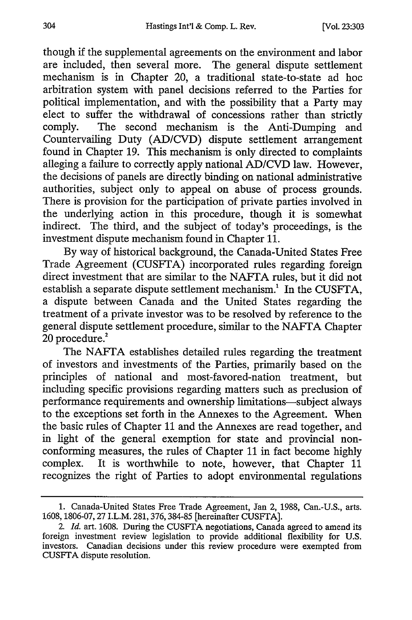though if the supplemental agreements on the environment and labor are included, then several more. The general dispute settlement mechanism is in Chapter 20, a traditional state-to-state ad hoe arbitration system with panel decisions referred to the Parties for political implementation, and with the possibility that a Party may elect to suffer the withdrawal of concessions rather than strictly comply. The second mechanism is the Anti-Dumping and Countervailing Duty (AD/CVD) dispute settlement arrangement found in Chapter 19. This mechanism is only directed to complaints alleging a failure to correctly apply national AD/CVD law. However, the decisions of panels are directly binding on national administrative authorities, subject only to appeal on abuse of process grounds. There is provision for the participation of private parties involved in the underlying action in this procedure, though it is somewhat indirect. The third, and the subject of today's proceedings, is the investment dispute mechanism found in Chapter 11.

By way of historical background, the Canada-United States Free Trade Agreement (CUSFTA) incorporated rules regarding foreign direct investment that are similar to the NAFTA rules, but it did not establish a separate dispute settlement mechanism.' In the CUSFTA, a dispute between Canada and the United States regarding the treatment of a private investor was to be resolved by reference to the general dispute settlement procedure, similar to the NAFTA Chapter  $20$  procedure.<sup>2</sup>

The NAFTA establishes detailed rules regarding the treatment of investors and investments of the Parties, primarily based on the principles of national and most-favored-nation treatment, but including specific provisions regarding matters such as preclusion of performance requirements and ownership limitations-subject always to the exceptions set forth in the Annexes to the Agreement. When the basic rules of Chapter 11 and the Annexes are read together, and in light of the general exemption for state and provincial nonconforming measures, the rules of Chapter 11 in fact become highly complex. It is worthwhile to note, however, that Chapter 11 recognizes the right of Parties to adopt environmental regulations

<sup>1.</sup> Canada-United States Free Trade Agreement, Jan 2, 1988, Can.-U.S., arts. 1608,1806-07,27 I.L.M. 281,376,384-85 [hereinafter CUSFTA].

*<sup>2.</sup> Id.* art. 1608. During the CUSFTA negotiations, Canada agreed to amend its foreign investment review legislation to provide additional flexibility for U.S. investors. Canadian decisions under this review procedure were exempted from CUSFTA dispute resolution.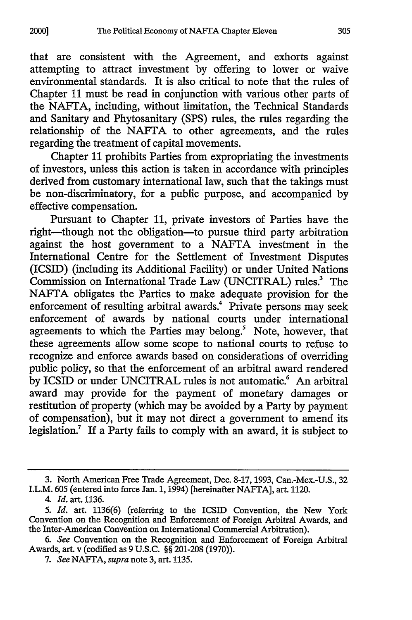that are consistent with the Agreement, and exhorts against attempting to attract investment by offering to lower or waive environmental standards. It is also critical to note that the rules of Chapter 11 must be read in conjunction with various other parts of the NAFTA, including, without limitation, the Technical Standards and Sanitary and Phytosanitary (SPS) rules, the rules regarding the relationship of the NAFTA to other agreements, and the rules regarding the treatment of capital movements.

Chapter 11 prohibits Parties from expropriating the investments of investors, unless this action is taken in accordance with principles derived from customary international law, such that the takings must be non-discriminatory, for a public purpose, and accompanied by effective compensation.

Pursuant to Chapter 11, private investors of Parties have the right-though not the obligation-to pursue third party arbitration against the host government to a NAFTA investment in the International Centre for the Settlement of Investment Disputes (ICSID) (including its Additional Facility) or under United Nations Commission on International Trade Law (UNCITRAL) rules.<sup>3</sup> The NAFTA obligates the Parties to make adequate provision for the enforcement of resulting arbitral awards.<sup>4</sup> Private persons may seek enforcement of awards by national courts under international agreements to which the Parties may belong.<sup>5</sup> Note, however, that these agreements allow some scope to national courts to refuse to recognize and enforce awards based on considerations of overriding public policy, so that the enforcement of an arbitral award rendered by ICSID or under UNCITRAL rules is not automatic.<sup>6</sup> An arbitral award may provide for the payment of monetary damages or restitution of property (which may be avoided by a Party by payment of compensation), but it may not direct a government to amend its legislation.<sup>7</sup> If a Party fails to comply with an award, it is subject to

*4. Id.* art. 1136.

**2000]**

<sup>3.</sup> North American Free Trade Agreement, Dec. **8-17,** 1993, Can.-Mex.-U.S., 32 I.L.M. 605 (entered into force Jan. 1, 1994) [hereinafter NAFTA], art. 1120.

*<sup>5.</sup> Id.* art. 1136(6) (referring to the ICSID Convention, the New York Convention on the Recognition and Enforcement of Foreign Arbitral Awards, and the Inter-American Convention on International Commercial Arbitration).

*<sup>6.</sup> See* Convention on the Recognition and Enforcement of Foreign Arbitral Awards, art. v (codified as 9 U.S.C. §§ 201-208 (1970)).

*<sup>7.</sup> See* NAFTA, *supra* note 3, art. 1135.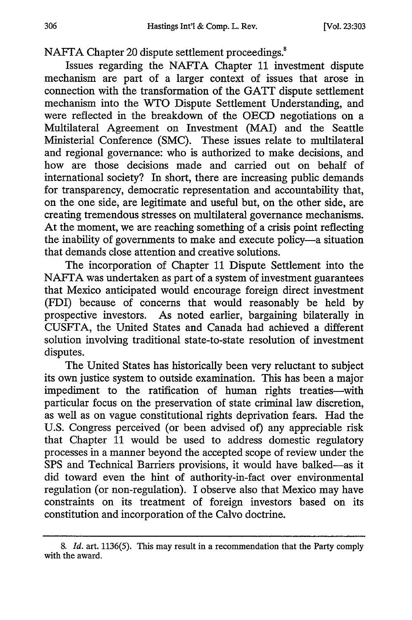NAFTA Chapter 20 dispute settlement proceedings.<sup>8</sup>

Issues regarding the NAFTA Chapter 11 investment dispute mechanism are part of a larger context of issues that arose in connection with the transformation of the GATT dispute settlement mechanism into the WTO Dispute Settlement Understanding, and were reflected in the breakdown of the OECD negotiations on a Multilateral Agreement on Investment (MAI) and the Seattle Ministerial Conference (SMC). These issues relate to multilateral and regional governance: who is authorized to make decisions, and how are those decisions made and carried out on behalf of international society? In short, there are increasing public demands for transparency, democratic representation and accountability that, on the one side, are legitimate and useful but, on the other side, are creating tremendous stresses on multilateral governance mechanisms. At the moment, we are reaching something of a crisis point reflecting the inability of governments to make and execute policy-a situation that demands close attention and creative solutions.

The incorporation of Chapter 11 Dispute Settlement into the NAFTA was undertaken as part of a system of investment guarantees that Mexico anticipated would encourage foreign direct investment (FDI) because of concerns that would reasonably be held by prospective investors. As noted earlier, bargaining bilaterally in CUSFTA, the United States and Canada had achieved a different solution involving traditional state-to-state resolution of investment disputes.

The United States has historically been very reluctant to subject its own justice system to outside examination. This has been a major impediment to the ratification of human rights treaties-with particular focus on the preservation of state criminal law discretion, as well as on vague constitutional rights deprivation fears. Had the U.S. Congress perceived (or been advised of) any appreciable risk that Chapter 11 would be used to address domestic regulatory processes in a manner beyond the accepted scope of review under the SPS and Technical Barriers provisions, it would have balked-as it did toward even the hint of authority-in-fact over environmental regulation (or non-regulation). I observe also that Mexico may have constraints on its treatment of foreign investors based on its constitution and incorporation of the Calvo doctrine.

<sup>8.</sup> *Id.* art. 1136(5). This may result in a recommendation that the Party comply with the award.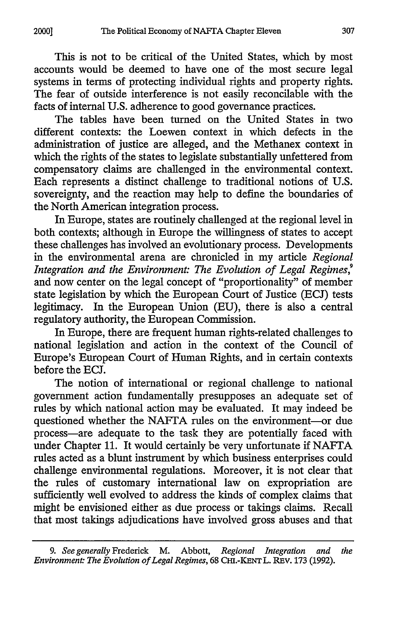2000]

This is not to be critical of the United States, which by most accounts would be deemed to have one of the most secure legal systems in terms of protecting individual rights and property rights. The fear of outside interference is not easily reconcilable with the facts of internal U.S. adherence to good governance practices.

The tables have been turned on the United States in two different contexts: the Loewen context in which defects in the administration of justice are alleged, and the Methanex context in which the fights of the states to legislate substantially unfettered from compensatory claims are challenged in the environmental context. Each represents a distinct challenge to traditional notions of U.S. sovereignty, and the reaction may help to define the boundaries of the North American integration process.

In Europe, states are routinely challenged at the regional level in both contexts; although in Europe the willingness of states to accept these challenges has involved an evolutionary process. Developments in the environmental arena are chronicled in my article *Regional Integration and the Environment: The Evolution of Legal Regimes,<sup>9</sup>* and now center on the legal concept of "proportionality" of member state legislation by which the European Court of Justice (ECJ) tests legitimacy. In the European Union (EU), there is also a central regulatory authority, the European Commission.

In Europe, there are frequent human rights-related challenges to national legislation and action in the context of the Council of Europe's European Court of Human Rights, and in certain contexts before the ECJ.

The notion of international or regional challenge to national government action fundamentally presupposes an adequate set of rules by which national action may be evaluated. It may indeed be questioned whether the NAFTA rules on the environment-or due process-are adequate to the task they are potentially faced with under Chapter 11. It would certainly be very unfortunate if NAFTA rules acted as a blunt instrument by which business enterprises could challenge environmental regulations. Moreover, it is not clear that the rules of customary international law on expropriation are sufficiently well evolved to address the kinds of complex claims that might be envisioned either as due process or takings claims. Recall that most takings adjudications have involved gross abuses and that

*<sup>9.</sup> See generally* Frederick M. Abbott, *Regional Integration and the Environment The Evolution of Legal Regimes,* 68 **CHl.-KENT** L. REv. **173** (1992).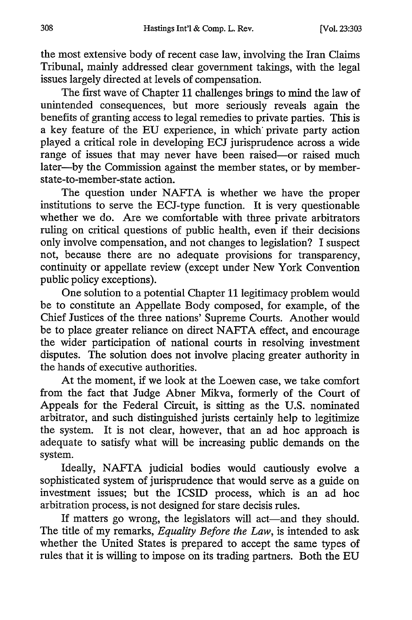the most extensive body of recent case law, involving the Iran Claims Tribunal, mainly addressed clear government takings, with the legal issues largely directed at levels of compensation.

The first wave of Chapter 11 challenges brings to mind the law of unintended consequences, but more seriously reveals again the benefits of granting access to legal remedies to private parties. This is a key feature of the EU experience, in which private party action played a critical role in developing ECJ jurisprudence across a wide range of issues that may never have been raised-or raised much later--by the Commission against the member states, or by memberstate-to-member-state action.

The question under NAFTA is whether we have the proper institutions to serve the ECJ-type function. It is very questionable whether we do. Are we comfortable with three private arbitrators ruling on critical questions of public health, even if their decisions only involve compensation, and not changes to legislation? I suspect not, because there are no adequate provisions for transparency, continuity or appellate review (except under New York Convention public policy exceptions).

One solution to a potential Chapter 11 legitimacy problem would be to constitute an Appellate Body composed, for example, of the Chief Justices of the three nations' Supreme Courts. Another would be to place greater reliance on direct NAFTA effect, and encourage the wider participation of national courts in resolving investment disputes. The solution does not involve placing greater authority in the hands of executive authorities.

At the moment, if we look at the Loewen case, we take comfort from the fact that Judge Abner Mikva, formerly of the Court of Appeals for the Federal Circuit, is sitting as the U.S. nominated arbitrator, and such distinguished jurists certainly help to legitimize the system. It is not clear, however, that an ad hoc approach is adequate to satisfy what will be increasing public demands on the system.

Ideally, NAFTA judicial bodies would cautiously evolve a sophisticated system of jurisprudence that would serve as a guide on investment issues; but the ICSID process, which is an ad hoc arbitration process, is not designed for stare decisis rules.

If matters go wrong, the legislators will act—and they should. The title of my remarks, *Equality Before the Law,* is intended to ask whether the United States is prepared to accept the same types of rules that it is willing to impose on its trading partners. Both the EU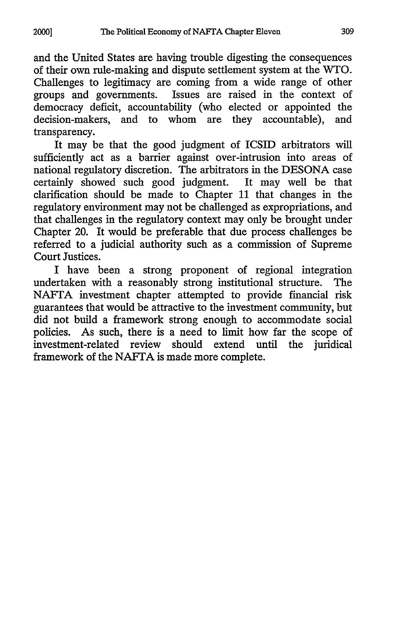and the United States are having trouble digesting the consequences of their own rule-making and dispute settlement system at the WTO. Challenges to legitimacy are coming from a wide range of other groups and governments. Issues are raised in the context of democracy deficit, accountability (who elected or appointed the decision-makers, and to whom are they accountable), and transparency.

It may be that the good judgment of ICSID arbitrators will sufficiently act as a barrier against over-intrusion into areas of national regulatory discretion. The arbitrators in the DESONA case certainly showed such good judgment. It may well be that clarification should be made to Chapter 11 that changes in the regulatory environment may not be challenged as expropriations, and that challenges in the regulatory context may only be brought under Chapter 20. It would be preferable that due process challenges be referred to a judicial authority such as a commission of Supreme Court Justices.

I have been a strong proponent of regional integration undertaken with a reasonably strong institutional structure. The NAFTA investment chapter attempted to provide financial risk guarantees that would be attractive to the investment community, but did not build a framework strong enough to accommodate social policies. As such, there is a need to limit how far the scope of investment-related review should extend until the juridical framework of the NAFTA is made more complete.